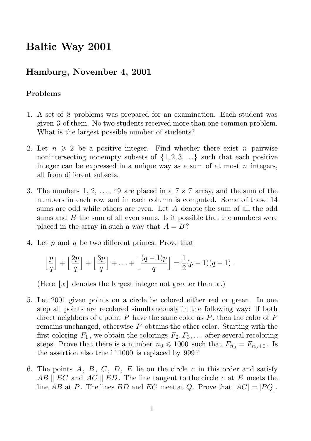## Baltic Way 2001

## Hamburg, November 4, 2001

## Problems

- 1. A set of 8 problems was prepared for an examination. Each student was given 3 of them. No two students received more than one common problem. What is the largest possible number of students?
- 2. Let  $n \geq 2$  be a positive integer. Find whether there exist n pairwise nonintersecting nonempty subsets of  $\{1, 2, 3, \ldots\}$  such that each positive integer can be expressed in a unique way as a sum of at most  $n$  integers, all from different subsets.
- 3. The numbers 1, 2, ..., 49 are placed in a  $7 \times 7$  array, and the sum of the numbers in each row and in each column is computed. Some of these 14 sums are odd while others are even. Let A denote the sum of all the odd sums and  $B$  the sum of all even sums. Is it possible that the numbers were placed in the array in such a way that  $A = B$ ?
- 4. Let  $p$  and  $q$  be two different primes. Prove that

$$
\left\lfloor \frac{p}{q} \right\rfloor + \left\lfloor \frac{2p}{q} \right\rfloor + \left\lfloor \frac{3p}{q} \right\rfloor + \ldots + \left\lfloor \frac{(q-1)p}{q} \right\rfloor = \frac{1}{2}(p-1)(q-1).
$$

(Here  $|x|$  denotes the largest integer not greater than x.)

- 5. Let 2001 given points on a circle be colored either red or green. In one step all points are recolored simultaneously in the following way: If both direct neighbors of a point P have the same color as  $P$ , then the color of P remains unchanged, otherwise  $P$  obtains the other color. Starting with the first coloring  $F_1$ , we obtain the colorings  $F_2, F_3, \ldots$  after several recoloring steps. Prove that there is a number  $n_0 \le 1000$  such that  $F_{n_0} = F_{n_0+2}$ . Is the assertion also true if 1000 is replaced by 999?
- 6. The points  $A, B, C, D, E$  lie on the circle c in this order and satisfy  $AB \parallel EC$  and  $AC \parallel ED$ . The line tangent to the circle c at E meets the line AB at P. The lines BD and EC meet at Q. Prove that  $|AC| = |PQ|$ .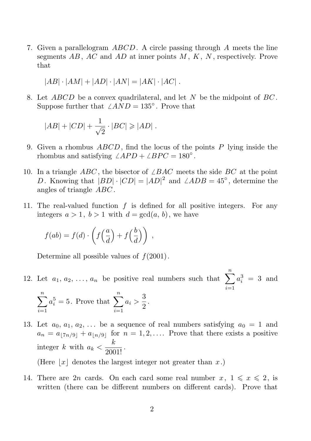7. Given a parallelogram  $ABCD$ . A circle passing through A meets the line segments  $AB$ ,  $AC$  and  $AD$  at inner points  $M$ ,  $K$ ,  $N$ , respectively. Prove that

$$
|AB| \cdot |AM| + |AD| \cdot |AN| = |AK| \cdot |AC|.
$$

8. Let  $ABCD$  be a convex quadrilateral, and let N be the midpoint of  $BC$ . Suppose further that  $\angle AND = 135^\circ$ . Prove that

$$
|AB| + |CD| + \frac{1}{\sqrt{2}} \cdot |BC| \ge |AD|.
$$

- 9. Given a rhombus  $ABCD$ , find the locus of the points  $P$  lying inside the rhombus and satisfying  $\angle APD + \angle BPC = 180^\circ$ .
- 10. In a triangle ABC, the bisector of  $\angle BAC$  meets the side BC at the point D. Knowing that  $|BD| \cdot |CD| = |AD|^2$  and  $\angle ADB = 45^\circ$ , determine the angles of triangle ABC .
- 11. The real-valued function  $f$  is defined for all positive integers. For any integers  $a > 1$ ,  $b > 1$  with  $d = \gcd(a, b)$ , we have

$$
f(ab) = f(d) \cdot \left( f\left(\frac{a}{d}\right) + f\left(\frac{b}{d}\right) \right) ,
$$

Determine all possible values of  $f(2001)$ .

12. Let  $a_1, a_2, \ldots, a_n$  be positive real numbers such that  $\sum_{n=1}^n$  $i=1$  $a_i^3 = 3$  and

$$
\sum_{i=1}^{n} a_i^5 = 5.
$$
 Prove that 
$$
\sum_{i=1}^{n} a_i > \frac{3}{2}.
$$

13. Let  $a_0, a_1, a_2, \ldots$  be a sequence of real numbers satisfying  $a_0 = 1$  and  $a_n = a_{7n/9} + a_{7n/9}$  for  $n = 1, 2, \ldots$  Prove that there exists a positive integer k with  $a_k < \frac{k}{2001!}$ .

(Here  $|x|$  denotes the largest integer not greater than x.)

14. There are 2n cards. On each card some real number  $x, 1 \leq x \leq 2$ , is written (there can be different numbers on different cards). Prove that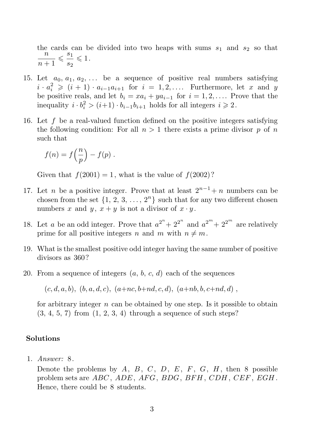the cards can be divided into two heaps with sums  $s_1$  and  $s_2$  so that n  $\frac{n}{n+1} \leqslant \frac{s_1}{s_2}$  $\frac{s_1}{s_2} \leqslant 1.$ 

- 15. Let  $a_0, a_1, a_2, \ldots$  be a sequence of positive real numbers satisfying  $i \cdot a_i^2 \geqslant (i+1) \cdot a_{i-1}a_{i+1}$  for  $i = 1, 2, \ldots$ . Furthermore, let x and y be positive reals, and let  $b_i = xa_i + ya_{i-1}$  for  $i = 1, 2, \ldots$ . Prove that the inequality  $i \cdot b_i^2 > (i+1) \cdot b_{i-1} b_{i+1}$  holds for all integers  $i \ge 2$ .
- 16. Let f be a real-valued function defined on the positive integers satisfying the following condition: For all  $n > 1$  there exists a prime divisor p of n such that

$$
f(n) = f\left(\frac{n}{p}\right) - f(p) .
$$

Given that  $f(2001) = 1$ , what is the value of  $f(2002)$ ?

- 17. Let *n* be a positive integer. Prove that at least  $2^{n-1}+n$  numbers can be chosen from the set  $\{1, 2, 3, ..., 2<sup>n</sup>\}$  such that for any two different chosen numbers x and y,  $x + y$  is not a divisor of  $x \cdot y$ .
- 18. Let a be an odd integer. Prove that  $a^{2^n} + 2^{2^n}$  and  $a^{2^m} + 2^{2^m}$  are relatively prime for all positive integers n and m with  $n \neq m$ .
- 19. What is the smallest positive odd integer having the same number of positive divisors as 360?
- 20. From a sequence of integers  $(a, b, c, d)$  each of the sequences

 $(c, d, a, b), (b, a, d, c), (a+nc, b+n d, c, d), (a+n b, b, c+n d, d)$ 

for arbitrary integer  $n$  can be obtained by one step. Is it possible to obtain  $(3, 4, 5, 7)$  from  $(1, 2, 3, 4)$  through a sequence of such steps?

## Solutions

1. Answer: 8.

Denote the problems by  $A, B, C, D, E, F, G, H$ , then 8 possible problem sets are  $ABC$ ,  $ADE$ ,  $AFG$ ,  $BDG$ ,  $BFH$ ,  $CDH$ ,  $CEF$ ,  $EGH$ . Hence, there could be 8 students.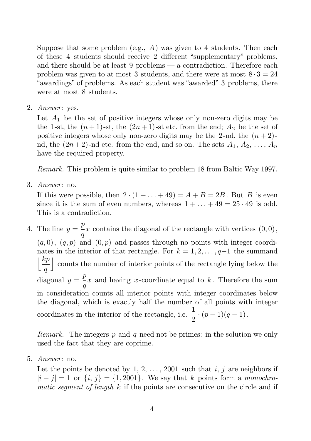Suppose that some problem (e.g.,  $A$ ) was given to 4 students. Then each of these 4 students should receive 2 different "supplementary" problems, and there should be at least 9 problems — a contradiction. Therefore each problem was given to at most 3 students, and there were at most  $8 \cdot 3 = 24$ "awardings" of problems. As each student was "awarded" 3 problems, there were at most 8 students.

2. Answer: yes.

Let  $A_1$  be the set of positive integers whose only non-zero digits may be the 1-st, the  $(n+1)$ -st, the  $(2n+1)$ -st etc. from the end;  $A_2$  be the set of positive integers whose only non-zero digits may be the 2-nd, the  $(n + 2)$ nd, the  $(2n+2)$ -nd etc. from the end, and so on. The sets  $A_1, A_2, \ldots, A_n$ have the required property.

Remark. This problem is quite similar to problem 18 from Baltic Way 1997.

3. Answer: no.

If this were possible, then  $2 \cdot (1 + \ldots + 49) = A + B = 2B$ . But B is even since it is the sum of even numbers, whereas  $1 + \ldots + 49 = 25 \cdot 49$  is odd. This is a contradiction.

4. The line  $y = \frac{p}{q}$  $\frac{d^2}{q}x$  contains the diagonal of the rectangle with vertices  $(0,0)$ ,  $(q, 0)$ ,  $(q, p)$  and  $(0, p)$  and passes through no points with integer coordinates in the interior of that rectangle. For  $k = 1, 2, \ldots, q-1$  the summand  $\left|\frac{kp}{l}\right|$  counts the number of interior points of the rectangle lying below the q diagonal  $y = \frac{p}{q}$  $\frac{P}{q}x$  and having x-coordinate equal to k. Therefore the sum in consideration counts all interior points with integer coordinates below the diagonal, which is exactly half the number of all points with integer coordinates in the interior of the rectangle, i.e.  $\frac{1}{2}$  $\frac{1}{2} \cdot (p-1)(q-1)$ .

Remark. The integers  $p$  and  $q$  need not be primes: in the solution we only used the fact that they are coprime.

5. Answer: no.

Let the points be denoted by 1, 2, ..., 2001 such that i, j are neighbors if  $|i-j|=1$  or  $\{i, j\} = \{1, 2001\}$ . We say that k points form a monochromatic segment of length  $k$  if the points are consecutive on the circle and if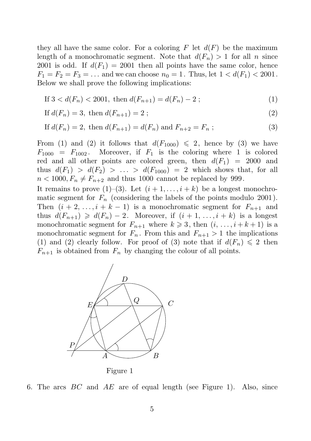they all have the same color. For a coloring  $F$  let  $d(F)$  be the maximum length of a monochromatic segment. Note that  $d(F_n) > 1$  for all n since 2001 is odd. If  $d(F_1) = 2001$  then all points have the same color, hence  $F_1 = F_2 = F_3 = \dots$  and we can choose  $n_0 = 1$ . Thus, let  $1 < d(F_1) < 2001$ . Below we shall prove the following implications:

If 
$$
3 < d(F_n) < 2001
$$
, then  $d(F_{n+1}) = d(F_n) - 2$  ; (1)

If 
$$
d(F_n) = 3
$$
, then  $d(F_{n+1}) = 2$ ;  $(2)$ 

If 
$$
d(F_n) = 2
$$
, then  $d(F_{n+1}) = d(F_n)$  and  $F_{n+2} = F_n$  ; (3)

From (1) and (2) it follows that  $d(F_{1000}) \leq 2$ , hence by (3) we have  $F_{1000} = F_{1002}$ . Moreover, if  $F_1$  is the coloring where 1 is colored red and all other points are colored green, then  $d(F_1) = 2000$  and thus  $d(F_1) > d(F_2) > \ldots > d(F_{1000}) = 2$  which shows that, for all  $n < 1000, F_n \neq F_{n+2}$  and thus 1000 cannot be replaced by 999.

It remains to prove (1)–(3). Let  $(i+1,\ldots,i+k)$  be a longest monochromatic segment for  $F_n$  (considering the labels of the points modulo 2001). Then  $(i + 2, \ldots, i + k - 1)$  is a monochromatic segment for  $F_{n+1}$  and thus  $d(F_{n+1}) \geq d(F_n) - 2$ . Moreover, if  $(i + 1, ..., i + k)$  is a longest monochromatic segment for  $F_{n+1}$  where  $k \geqslant 3$ , then  $(i, \ldots, i + k + 1)$  is a monochromatic segment for  $F_n$ . From this and  $F_{n+1} > 1$  the implications (1) and (2) clearly follow. For proof of (3) note that if  $d(F_n) \leq 2$  then  $F_{n+1}$  is obtained from  $F_n$  by changing the colour of all points.





Figure 1

6. The arcs  $BC$  and  $AE$  are of equal length (see Figure 1). Also, since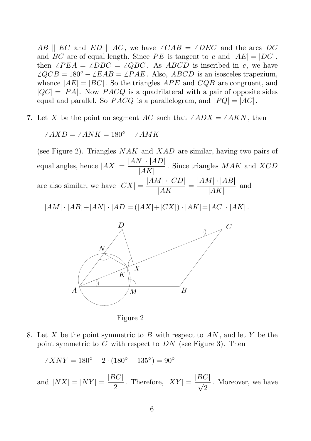AB ||  $EC$  and  $ED$  ||  $AC$ , we have  $\angle CAB = \angle DEC$  and the arcs DC and BC are of equal length. Since PE is tangent to c and  $|AE| = |DC|$ , then  $\angle PEA = \angle DBC = \angle QBC$ . As ABCD is inscribed in c, we have  $\angle QCB = 180^\circ - \angle EAB = \angle PAE$ . Also, ABCD is an isosceles trapezium, whence  $|AE| = |BC|$ . So the triangles  $APE$  and  $CQB$  are congruent, and  $|QC| = |PA|$ . Now  $PACQ$  is a quadrilateral with a pair of opposite sides equal and parallel. So  $PACQ$  is a parallelogram, and  $|PQ| = |AC|$ .

7. Let X be the point on segment AC such that  $\angle ADX = \angle AKN$ , then

$$
\angle AXD = \angle ANK = 180^{\circ} - \angle AMK
$$

(see Figure 2). Triangles  $NAK$  and  $XAD$  are similar, having two pairs of stauehangles, hence  $|AX| = \frac{|AN| \cdot |AD|}{|AK|}$ PSfrag replacement parameters, hence  $|AX| = \frac{|AX| - |AB|}{|AK|}$ . Since triangles MAK and XCD are also similar, we have  $|CX| = \frac{|AM| \cdot |CD|}{|AK|}$  $\frac{A|\cdot|CD|}{|AK|} = \frac{|AM|\cdot|AB|}{|AK|}$  $\frac{|A| + |A|}{|AK|}$  and  $|AM| \prod_{i}AB| + |AN| \cdot |AD| = (|AX| + |CX|) \cdot |AK| = |AC| \cdot |AK|.$ A B  $\mathcal{C}_{0}^{(n)}$  $\,p_{\!f}$ E  $\overline{Q}$ P  $A \setminus$  and  $/M$  and  $B$  $\frac{D}{\sqrt{C}}$ M N K X

Figure 2

8. Let X be the point symmetric to B with respect to  $AN$ , and let Y be the point symmetric to  $C$  with respect to  $DN$  (see Figure 3). Then

$$
\angle XNY = 180^{\circ} - 2 \cdot (180^{\circ} - 135^{\circ}) = 90^{\circ}
$$

and  $|NX| = |NY| = \frac{|BC|}{2}$  $\frac{3C}{2}$ . Therefore,  $|XY| = \frac{|BC|}{\sqrt{2}}$ . Moreover, we have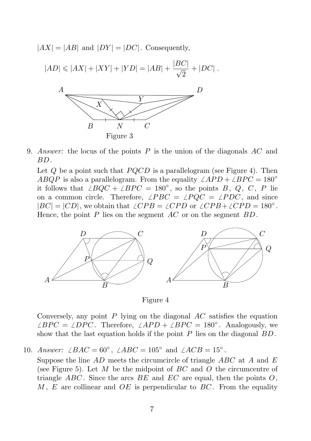$|AX| = |AB|$  and  $|DY| = |DC|$ . Consequently,

$$
|AD| \le |AX| + |XY| + |YD| = |AB| + \frac{|BC|}{\sqrt{2}} + |DC|.
$$



9. *Qnswer:* the locus of the points  $P$  is the union of the diagonals  $AC$  and  $\not\!\!BD$  .

Let  $Q$  be a point such that  $PQCD$  is a parallelogram (see Figure 4). Then **ABQP** is also a parallelogram. From the equality  $\angle APD + \angle BPC = 180°$ if follows that  $\angle BQC + \angle BPC = 180^\circ$ , so the points B, Q, C, P lie *Dh* a common circle. Therefore,  $\angle PBC = \angle PQC = \angle PDC$ , and since  $|ABC| = |CD|$ , we obtain that  $\angle CPB = \angle CPD$  or  $\angle CPB + \angle CPD = 180^\circ$ . Mence, the point  $P$  lies on the segment  $AC$  or on the segment  $BD$ . K





Conversely, any point  $P$  lying on the diagonal  $AC$  satisfies the equation  $\angle BPC = \angle DPC$ . Therefore,  $\angle APD + \angle BPC = 180^\circ$ . Analogously, we show that the last equation holds if the point  $P$  lies on the diagonal  $BD$ .

10. Answer:  $\angle BAC = 60^{\circ}$ ,  $\angle ABC = 105^{\circ}$  and  $\angle ACB = 15^{\circ}$ .

Suppose the line  $AD$  meets the circumcircle of triangle  $ABC$  at A and E (see Figure 5). Let  $M$  be the midpoint of  $BC$  and  $O$  the circumcentre of triangle ABC. Since the arcs BE and  $EC$  are equal, then the points O, M, E are collinear and  $OE$  is perpendicular to  $BC$ . From the equality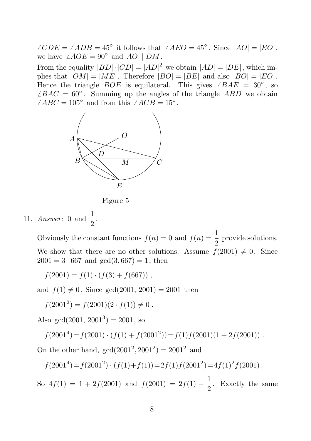$\angle CDE \frac{M}{N} \angle ADB = 45^\circ$  it follows that  $\angle AEO = 45^\circ$ . Since  $|AO| = |EO|$ , we have  $\chi^N_{\vec{k}}$  AOE = 90° and AO || DM. From the equality  $|BD| \cdot |CD| = |AD|^2$  we obtain  $|AD| = |DE|$ , which implies that  $|OM| = |ME|$ . Therefore  $|BO| = |BE|$  and also  $|BO| = |EO|$ . Hence the triangle *BOE* is equilateral. This gives  $\angle BAE = 30^\circ$ , so  $\angle BAC = ABC \frac{B}{C}$  60°. Summing up the angles of the triangle ABD we obtain  $\angle ABC = \frac{C}{D} 105^\circ$  and from this  $\angle ACB = 15^\circ$ . B  $\overline{C}$  $\overline{D}$ X B  $\mathcal{D}$ 



Figure 5

11. Answer: 0 and  $\frac{1}{2}$ .

 $\mathbf{I}$ A

Obviously the constant functions  $f(n) = 0$  and  $f(n) = \frac{1}{2}$  $\frac{1}{2}$  provide solutions. We show that there are no other solutions. Assume  $f(2001) \neq 0$ . Since  $2001 = 3 \cdot 667$  and  $gcd(3, 667) = 1$ , then

 $f(2001) = f(1) \cdot (f(3) + f(667))$ ,

and  $f(1) \neq 0$ . Since gcd(2001, 2001) = 2001 then

 $f(2001^2) = f(2001)(2 \cdot f(1)) \neq 0$ .

Also gcd $(2001, 2001^3) = 2001$ , so

$$
f(20014) = f(2001) \cdot (f(1) + f(20012)) = f(1)f(2001)(1 + 2f(2001))
$$
.

On the other hand,  $gcd(2001^2, 2001^2) = 2001^2$  and

$$
f(20014) = f(20012) \cdot (f(1) + f(1)) = 2f(1)f(20012) = 4f(1)2 f(2001).
$$

So  $4f(1) = 1 + 2f(2001)$  and  $f(2001) = 2f(1) - \frac{1}{2}$  $\frac{1}{2}$ . Exactly the same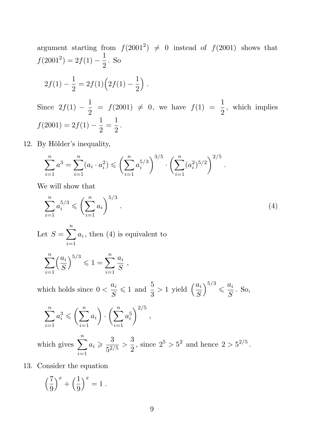argument starting from  $f(2001^2) \neq 0$  instead of  $f(2001)$  shows that  $f(2001^2) = 2f(1) - \frac{1}{2}$  $\frac{1}{2}$ . So  $2f(1) - \frac{1}{2}$  $\frac{1}{2} = 2f(1)\left(2f(1) - \frac{1}{2}\right)$ 2 ´ . Since  $2f(1) - \frac{1}{2}$  $\frac{1}{2}$  =  $f(2001) \neq 0$ , we have  $f(1) = \frac{1}{2}$  $\frac{1}{2}$ , which implies  $f(2001) = 2f(1) - \frac{1}{2}$  $\frac{1}{2} = \frac{1}{2}$  $\frac{1}{2}$ .

12. By Hölder's inequality,

$$
\sum_{i=1}^n a^3 = \sum_{i=1}^n (a_i \cdot a_i^2) \leqslant \left(\sum_{i=1}^n a_i^{5/3}\right)^{3/5} \cdot \left(\sum_{i=1}^n (a_i^2)^{5/2}\right)^{2/5}.
$$

We will show that

$$
\sum_{i=1}^{n} a_i^{5/3} \leqslant \left(\sum_{i=1}^{n} a_i\right)^{5/3}.
$$
\nLet  $S = \sum_{i=1}^{n} a_i$ , then (4) is equivalent to

\n
$$
\sum_{i=1}^{n} \left(\frac{a_i}{S}\right)^{5/3} \leqslant 1 = \sum_{i=1}^{n} \frac{a_i}{S},
$$
\nwhich holds since  $0 < \frac{a_i}{S} \leqslant 1$  and  $\frac{5}{3} > 1$  yield  $\left(\frac{a_i}{S}\right)^{5/3} \leqslant \frac{a_i}{S}$ . So,

$$
\sum_{i=1}^{n} a_i^3 \leqslant \left(\sum_{i=1}^{n} a_i\right) \cdot \left(\sum_{i=1}^{n} a_i^5\right)^{2/5},
$$

which gives  $\sum_{n=1}^{\infty}$  $i=1$  $a_i \geqslant \frac{3}{5}$  $\frac{3}{5^{2/5}} > \frac{3}{2}$  $\frac{3}{2}$ , since  $2^5 > 5^2$  and hence  $2 > 5^{2/5}$ .

13. Consider the equation

$$
\left(\frac{7}{9}\right)^x + \left(\frac{1}{9}\right)^x = 1.
$$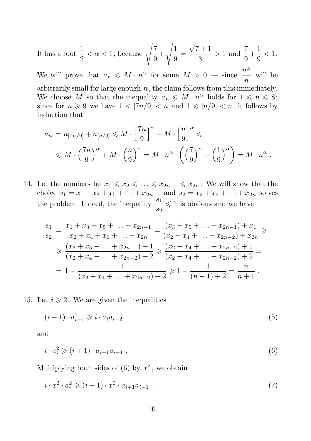It has a root 
$$
\frac{1}{2} < \alpha < 1
$$
, because  $\sqrt{\frac{7}{9}} + \sqrt{\frac{1}{9}} = \frac{\sqrt{7} + 1}{3} > 1$  and  $\frac{7}{9} + \frac{1}{9} < 1$ .

We will prove that  $a_n \leq M \cdot n^{\alpha}$  for some  $M > 0$  — since  $\frac{n^{\alpha}}{n}$  $\frac{c}{n}$  will be arbitrarily small for large enough  $n$ , the claim follows from this immediately. We choose M so that the inequality  $a_n \leq M \cdot n^{\alpha}$  holds for  $1 \leq n \leq 8$ ; since for  $n \geq 9$  we have  $1 < \lceil 7n/9 \rceil < n$  and  $1 \leqslant \lceil n/9 \rceil < n$ , it follows by induction that

$$
a_n = a_{[7n/9]} + a_{[n/9]} \leq M \cdot \left[\frac{7n}{9}\right]^\alpha + M \cdot \left[\frac{n}{9}\right]^\alpha \leq
$$
  
 
$$
\leq M \cdot \left(\frac{7n}{9}\right)^\alpha + M \cdot \left(\frac{n}{9}\right)^\alpha = M \cdot n^\alpha \cdot \left(\left(\frac{7}{9}\right)^\alpha + \left(\frac{1}{9}\right)^\alpha\right) = M \cdot n^\alpha.
$$

14. Let the numbers be  $x_1 \leq x_2 \leq \ldots \leq x_{2n-1} \leq x_{2n}$ . We will show that the choice  $s_1 = x_1 + x_3 + x_5 + \cdots + x_{2n-1}$  and  $s_2 = x_2 + x_4 + \cdots + x_{2n}$  solves the problem. Indeed, the inequality  $\frac{s_1}{s_1}$  $\frac{s_1}{s_2} \leq 1$  is obvious and we have

$$
\frac{s_1}{s_2} = \frac{x_1 + x_3 + x_5 + \dots + x_{2n-1}}{x_2 + x_4 + x_6 + \dots + x_{2n}} = \frac{(x_3 + x_5 + \dots + x_{2n-1}) + x_1}{(x_2 + x_4 + \dots + x_{2n-2}) + x_{2n}} \geq \frac{(x_3 + x_5 + \dots + x_{2n-1}) + 1}{(x_2 + x_4 + \dots + x_{2n-2}) + 2} \geq \frac{(x_2 + x_4 + \dots + x_{2n-2}) + 1}{(x_2 + x_4 + \dots + x_{2n-2}) + 2} = 1 - \frac{1}{(x_2 + x_4 + \dots + x_{2n-2}) + 2} \geq 1 - \frac{1}{(n-1) + 2} = \frac{n}{n+1}.
$$

15. Let  $i \geqslant 2$ . We are given the inequalities

$$
(i-1) \cdot a_{i-1}^2 \geqslant i \cdot a_i a_{i-2} \tag{5}
$$

and

$$
i \cdot a_i^2 \geqslant (i+1) \cdot a_{i+1} a_{i-1} . \tag{6}
$$

Multiplying both sides of (6) by  $x^2$ , we obtain

$$
i \cdot x^2 \cdot a_i^2 \geq (i+1) \cdot x^2 \cdot a_{i+1} a_{i-1} . \tag{7}
$$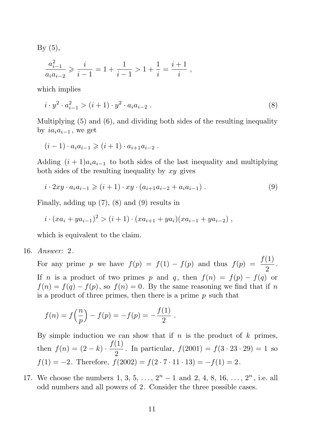By  $(5)$ ,

$$
\frac{a_{i-1}^2}{a_i a_{i-2}} \geqslant \frac{i}{i-1} = 1 + \frac{1}{i-1} > 1 + \frac{1}{i} = \frac{i+1}{i} ,
$$

which implies

$$
i \cdot y^2 \cdot a_{i-1}^2 > (i+1) \cdot y^2 \cdot a_i a_{i-2} . \tag{8}
$$

Multiplying (5) and (6), and dividing both sides of the resulting inequality by  $ia_ia_{i-1}$ , we get

$$
(i-1) \cdot a_i a_{i-1} \geq (i+1) \cdot a_{i+1} a_{i-2} .
$$

Adding  $(i + 1)a_i a_{i-1}$  to both sides of the last inequality and multiplying both sides of the resulting inequality by  $xy$  gives

$$
i \cdot 2xy \cdot a_i a_{i-1} \geq (i+1) \cdot xy \cdot (a_{i+1} a_{i-2} + a_i a_{i-1}). \tag{9}
$$

Finally, adding up (7), (8) and (9) results in

$$
i \cdot (xa_i + ya_{i-1})^2 > (i+1) \cdot (xa_{i+1} + ya_i)(xa_{i-1} + ya_{i-2}),
$$

which is equivalent to the claim.

16. Answer: 2.

For any prime p we have  $f(p) = f(1) - f(p)$  and thus  $f(p) = \frac{f(1)}{2}$  $\frac{1}{2}$ . If n is a product of two primes p and q, then  $f(n) = f(p) - f(q)$  or  $f(n) = f(q) - f(p)$ , so  $f(n) = 0$ . By the same reasoning we find that if n is a product of three primes, then there is a prime  $p$  such that

$$
f(n) = f\left(\frac{n}{p}\right) - f(p) = -f(p) = -\frac{f(1)}{2}.
$$

By simple induction we can show that if  $n$  is the product of  $k$  primes, then  $f(n) = (2 - k) \cdot \frac{f(1)}{2}$  $\frac{1}{2}$ . In particular,  $f(2001) = f(3 \cdot 23 \cdot 29) = 1$  so  $f(1) = -2$ . Therefore,  $f(2002) = f(2 \cdot 7 \cdot 11 \cdot 13) = -f(1) = 2$ .

17. We choose the numbers 1, 3, 5, ...,  $2^{n} - 1$  and 2, 4, 8, 16, ...,  $2^{n}$ , i.e. all odd numbers and all powers of 2. Consider the three possible cases.